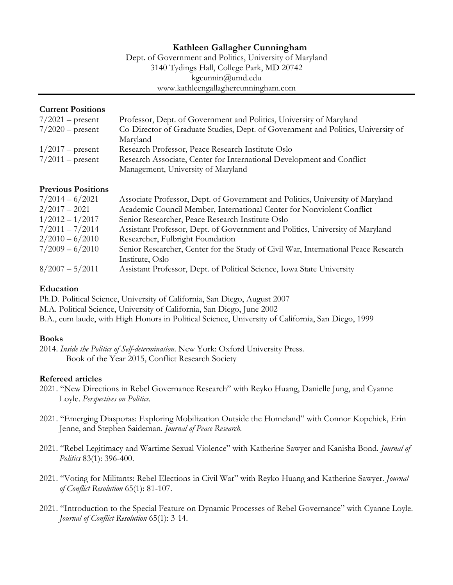# **Kathleen Gallagher Cunningham**

Dept. of Government and Politics, University of Maryland 3140 Tydings Hall, College Park, MD 20742 kgcunnin@umd.edu www.kathleengallaghercunningham.com

### **Current Positions**

| $7/2021$ – present | Professor, Dept. of Government and Politics, University of Maryland              |
|--------------------|----------------------------------------------------------------------------------|
| $7/2020$ – present | Co-Director of Graduate Studies, Dept. of Government and Politics, University of |
|                    | Maryland                                                                         |
| $1/2017$ – present | Research Professor, Peace Research Institute Oslo                                |
| $7/2011$ – present | Research Associate, Center for International Development and Conflict            |
|                    | Management, University of Maryland                                               |

### **Previous Positions**

| $7/2014 - 6/2021$ | Associate Professor, Dept. of Government and Politics, University of Maryland      |
|-------------------|------------------------------------------------------------------------------------|
| $2/2017 - 2021$   | Academic Council Member, International Center for Nonviolent Conflict              |
| $1/2012 - 1/2017$ | Senior Researcher, Peace Research Institute Oslo                                   |
| $7/2011 - 7/2014$ | Assistant Professor, Dept. of Government and Politics, University of Maryland      |
| $2/2010 - 6/2010$ | Researcher, Fulbright Foundation                                                   |
| $7/2009 - 6/2010$ | Senior Researcher, Center for the Study of Civil War, International Peace Research |
|                   | Institute, Oslo                                                                    |
| $8/2007 - 5/2011$ | Assistant Professor, Dept. of Political Science, Iowa State University             |

## **Education**

Ph.D. Political Science, University of California, San Diego, August 2007 M.A. Political Science, University of California, San Diego, June 2002 B.A., cum laude, with High Honors in Political Science, University of California, San Diego, 1999

### **Books**

2014. *Inside the Politics of Self-determination*. New York: Oxford University Press. Book of the Year 2015, Conflict Research Society

### **Refereed articles**

- 2021. "New Directions in Rebel Governance Research" with Reyko Huang, Danielle Jung, and Cyanne Loyle. *Perspectives on Politics.*
- 2021. "Emerging Diasporas: Exploring Mobilization Outside the Homeland" with Connor Kopchick, Erin Jenne, and Stephen Saideman. *Journal of Peace Research.*
- 2021. "Rebel Legitimacy and Wartime Sexual Violence" with Katherine Sawyer and Kanisha Bond. *Journal of Politics* 83(1): 396-400.
- 2021. "Voting for Militants: Rebel Elections in Civil War" with Reyko Huang and Katherine Sawyer. *Journal of Conflict Resolution* 65(1): 81-107.
- 2021. "Introduction to the Special Feature on Dynamic Processes of Rebel Governance" with Cyanne Loyle. *Journal of Conflict Resolution* 65(1): 3-14.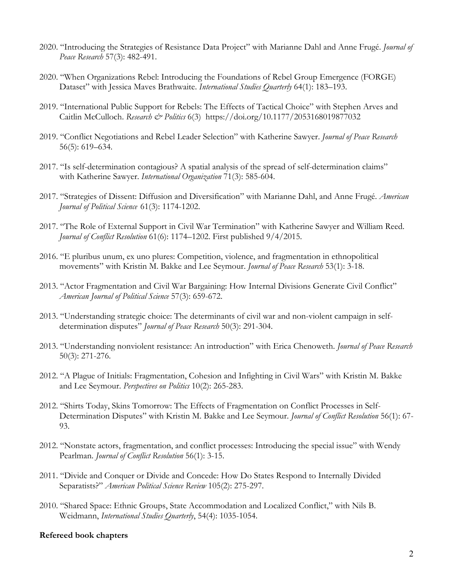- 2020. "Introducing the Strategies of Resistance Data Project" with Marianne Dahl and Anne Frugé. *Journal of Peace Research* 57(3): 482-491.
- 2020. "When Organizations Rebel: Introducing the Foundations of Rebel Group Emergence (FORGE) Dataset" with Jessica Maves Brathwaite. *International Studies Quarterly* 64(1): 183–193.
- 2019. "International Public Support for Rebels: The Effects of Tactical Choice" with Stephen Arves and Caitlin McCulloch. *Research & Politics* 6(3) https://doi.org/10.1177/2053168019877032
- 2019. "Conflict Negotiations and Rebel Leader Selection" with Katherine Sawyer. *Journal of Peace Research* 56(5): 619–634.
- 2017. "Is self-determination contagious? A spatial analysis of the spread of self-determination claims" with Katherine Sawyer. *International Organization* 71(3): 585-604.
- 2017. "Strategies of Dissent: Diffusion and Diversification" with Marianne Dahl, and Anne Frugé. *American Journal of Political Science* 61(3): 1174-1202.
- 2017. "The Role of External Support in Civil War Termination" with Katherine Sawyer and William Reed. *Journal of Conflict Resolution* 61(6): 1174–1202. First published 9/4/2015.
- 2016. "E pluribus unum, ex uno plures: Competition, violence, and fragmentation in ethnopolitical movements" with Kristin M. Bakke and Lee Seymour. *Journal of Peace Research* 53(1): 3-18.
- 2013. "Actor Fragmentation and Civil War Bargaining: How Internal Divisions Generate Civil Conflict" *American Journal of Political Science* 57(3): 659-672.
- 2013. "Understanding strategic choice: The determinants of civil war and non-violent campaign in selfdetermination disputes" *Journal of Peace Research* 50(3): 291-304.
- 2013. "Understanding nonviolent resistance: An introduction" with Erica Chenoweth. *Journal of Peace Research*  50(3): 271-276.
- 2012. "A Plague of Initials: Fragmentation, Cohesion and Infighting in Civil Wars" with Kristin M. Bakke and Lee Seymour. *Perspectives on Politics* 10(2): 265-283.
- 2012. "Shirts Today, Skins Tomorrow: The Effects of Fragmentation on Conflict Processes in Self-Determination Disputes" with Kristin M. Bakke and Lee Seymour. *Journal of Conflict Resolution* 56(1): 67- 93.
- 2012. "Nonstate actors, fragmentation, and conflict processes: Introducing the special issue" with Wendy Pearlman. *Journal of Conflict Resolution* 56(1): 3-15.
- 2011. "Divide and Conquer or Divide and Concede: How Do States Respond to Internally Divided Separatists?" *American Political Science Review* 105(2): 275-297.
- 2010. "Shared Space: Ethnic Groups, State Accommodation and Localized Conflict," with Nils B. Weidmann, *International Studies Quarterly*, 54(4): 1035-1054.

#### **Refereed book chapters**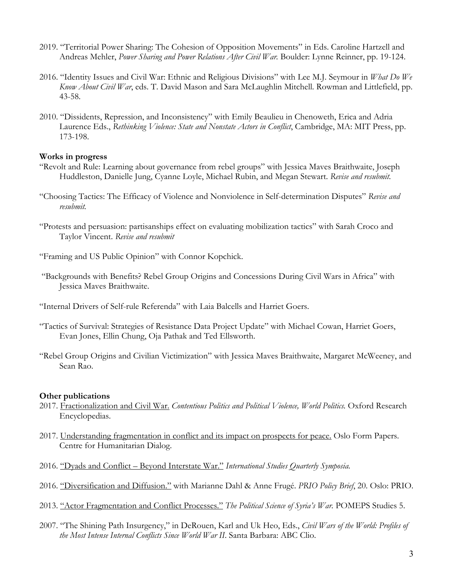- 2019. "Territorial Power Sharing: The Cohesion of Opposition Movements" in Eds. Caroline Hartzell and Andreas Mehler, *Power Sharing and Power Relations After Civil War.* Boulder: Lynne Reinner, pp. 19-124.
- 2016. "Identity Issues and Civil War: Ethnic and Religious Divisions" with Lee M.J. Seymour in *What Do We Know About Civil War*, eds. T. David Mason and Sara McLaughlin Mitchell. Rowman and Littlefield, pp. 43-58.
- 2010. "Dissidents, Repression, and Inconsistency" with Emily Beaulieu in Chenoweth, Erica and Adria Laurence Eds., *Rethinking Violence: State and Nonstate Actors in Conflict*, Cambridge, MA: MIT Press, pp. 173-198.

#### **Works in progress**

- "Revolt and Rule: Learning about governance from rebel groups" with Jessica Maves Braithwaite, Joseph Huddleston, Danielle Jung, Cyanne Loyle, Michael Rubin, and Megan Stewart. *Revise and resubmit.*
- "Choosing Tactics: The Efficacy of Violence and Nonviolence in Self-determination Disputes" *Revise and resubmit.*
- "Protests and persuasion: partisanships effect on evaluating mobilization tactics" with Sarah Croco and Taylor Vincent. *Revise and resubmit*

"Framing and US Public Opinion" with Connor Kopchick.

- "Backgrounds with Benefits? Rebel Group Origins and Concessions During Civil Wars in Africa" with Jessica Maves Braithwaite.
- "Internal Drivers of Self-rule Referenda" with Laia Balcells and Harriet Goers.
- "Tactics of Survival: Strategies of Resistance Data Project Update" with Michael Cowan, Harriet Goers, Evan Jones, Ellin Chung, Oja Pathak and Ted Ellsworth.
- "Rebel Group Origins and Civilian Victimization" with Jessica Maves Braithwaite, Margaret McWeeney, and Sean Rao.

### **Other publications**

- 2017. Fractionalization and Civil War. Contentious Politics and Political Violence, World Politics. Oxford Research Encyclopedias.
- 2017. Understanding fragmentation in conflict and its impact on prospects for peace. Oslo Form Papers. Centre for Humanitarian Dialog.
- 2016. "Dyads and Conflict Beyond Interstate War." *International Studies Quarterly Symposia.*
- 2016. "Diversification and Diffusion." with Marianne Dahl & Anne Frugé. *PRIO Policy Brief*, 20. Oslo: PRIO.
- 2013. "Actor Fragmentation and Conflict Processes." *The Political Science of Syria's War.* POMEPS Studies 5.
- 2007. "The Shining Path Insurgency," in DeRouen, Karl and Uk Heo, Eds., *Civil Wars of the World: Profiles of the Most Intense Internal Conflicts Since World War II*. Santa Barbara: ABC Clio.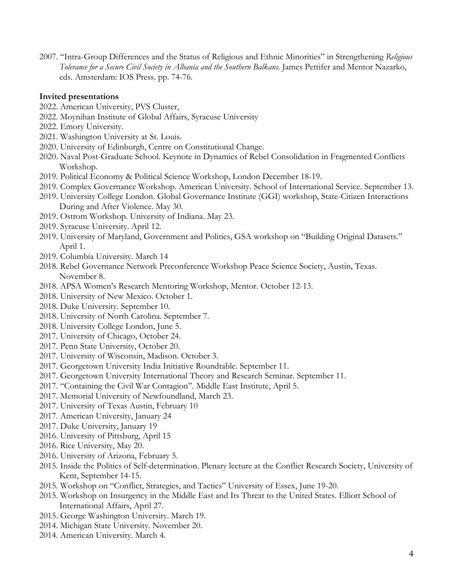2007. "Intra-Group Differences and the Status of Religious and Ethnic Minorities" in Strengthening *Religious Tolerance for a Secure Civil Society in Albania and the Southern Balkans*. James Pettifer and Mentor Nazarko, eds. Amsterdam: IOS Press. pp. 74-76.

#### **Invited presentations**

- 2022. American University, PVS Cluster,
- 2022. Moynihan Institute of Global Affairs, Syracuse University
- 2022. Emory University.
- 2021. Washington University at St. Louis.
- 2020. University of Edinburgh, Centre on Constitutional Change.
- 2020. Naval Post-Graduate School. Keynote in Dynamics of Rebel Consolidation in Fragmented Conflicts Workshop.
- 2019. Political Economy & Political Science Workshop, London December 18-19.
- 2019. Complex Governance Workshop. American University. School of International Service. September 13.
- 2019. University College London. Global Governance Institute (GGI) workshop, State-Citizen Interactions During and After Violence. May 30.
- 2019. Ostrom Workshop. University of Indiana. May 23.
- 2019. Syracuse University. April 12.
- 2019. University of Maryland, Government and Politics, GSA workshop on "Building Original Datasets." April 1.
- 2019. Columbia University. March 14
- 2018. Rebel Governance Network Preconference Workshop Peace Science Society, Austin, Texas. November 8.
- 2018. APSA Women's Research Mentoring Workshop, Mentor. October 12-13.
- 2018. University of New Mexico. October 1.
- 2018. Duke University. September 10.
- 2018. University of North Carolina. September 7.
- 2018. University College London, June 5.
- 2017. University of Chicago, October 24.
- 2017. Penn State University, October 20.
- 2017. University of Wisconsin, Madison. October 3.
- 2017. Georgetown University India Initiative Roundtable. September 11.
- 2017. Georgetown University International Theory and Research Seminar. September 11.
- 2017. "Containing the Civil War Contagion". Middle East Institute, April 5.
- 2017. Memorial University of Newfoundland, March 23.
- 2017. University of Texas Austin, February 10
- 2017. American University, January 24
- 2017. Duke University, January 19
- 2016. University of Pittsburg, April 15
- 2016. Rice University, May 20.
- 2016. University of Arizona, February 5.
- 2015. Inside the Politics of Self-determination. Plenary lecture at the Conflict Research Society, University of Kent, September 14-15.
- 2015. Workshop on "Conflict, Strategies, and Tactics" University of Essex, June 19-20.
- 2015. Workshop on Insurgency in the Middle East and Its Threat to the United States. Elliott School of International Affairs, April 27.
- 2015. George Washington University. March 19.
- 2014. Michigan State University. November 20.
- 2014. American University. March 4.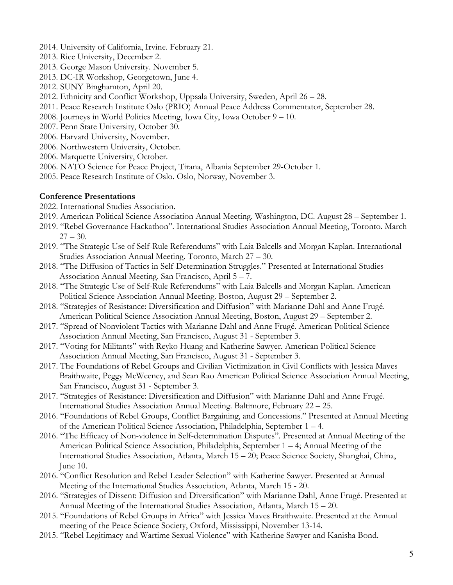- 2014. University of California, Irvine. February 21.
- 2013. Rice University, December 2.
- 2013. George Mason University. November 5.
- 2013. DC-IR Workshop, Georgetown, June 4.
- 2012. SUNY Binghamton, April 20.
- 2012. Ethnicity and Conflict Workshop, Uppsala University, Sweden, April 26 28.
- 2011. Peace Research Institute Oslo (PRIO) Annual Peace Address Commentator, September 28.
- 2008. Journeys in World Politics Meeting, Iowa City, Iowa October 9 10.
- 2007. Penn State University, October 30.
- 2006. Harvard University, November.
- 2006. Northwestern University, October.
- 2006. Marquette University, October.
- 2006. NATO Science for Peace Project, Tirana, Albania September 29-October 1.
- 2005. Peace Research Institute of Oslo. Oslo, Norway, November 3.

### **Conference Presentations**

- 2022. International Studies Association.
- 2019. American Political Science Association Annual Meeting. Washington, DC. August 28 September 1.
- 2019. "Rebel Governance Hackathon". International Studies Association Annual Meeting, Toronto. March  $27 - 30.$
- 2019. "The Strategic Use of Self-Rule Referendums" with Laia Balcells and Morgan Kaplan. International Studies Association Annual Meeting. Toronto, March 27 – 30.
- 2018. "The Diffusion of Tactics in Self-Determination Struggles." Presented at International Studies Association Annual Meeting. San Francisco, April 5 – 7.
- 2018. "The Strategic Use of Self-Rule Referendums" with Laia Balcells and Morgan Kaplan. American Political Science Association Annual Meeting. Boston, August 29 – September 2.
- 2018. "Strategies of Resistance: Diversification and Diffusion" with Marianne Dahl and Anne Frugé. American Political Science Association Annual Meeting, Boston, August 29 – September 2.
- 2017. "Spread of Nonviolent Tactics with Marianne Dahl and Anne Frugé. American Political Science Association Annual Meeting, San Francisco, August 31 - September 3.
- 2017. "Voting for Militants" with Reyko Huang and Katherine Sawyer. American Political Science Association Annual Meeting, San Francisco, August 31 - September 3.
- 2017. The Foundations of Rebel Groups and Civilian Victimization in Civil Conflicts with Jessica Maves Braithwaite, Peggy McWeeney, and Sean Rao American Political Science Association Annual Meeting, San Francisco, August 31 - September 3.
- 2017. "Strategies of Resistance: Diversification and Diffusion" with Marianne Dahl and Anne Frugé. International Studies Association Annual Meeting. Baltimore, February 22 – 25.
- 2016. "Foundations of Rebel Groups, Conflict Bargaining, and Concessions." Presented at Annual Meeting of the American Political Science Association, Philadelphia, September 1 – 4.
- 2016. "The Efficacy of Non-violence in Self-determination Disputes". Presented at Annual Meeting of the American Political Science Association, Philadelphia, September 1 – 4; Annual Meeting of the International Studies Association, Atlanta, March 15 – 20; Peace Science Society, Shanghai, China, June 10.
- 2016. "Conflict Resolution and Rebel Leader Selection" with Katherine Sawyer. Presented at Annual Meeting of the International Studies Association, Atlanta, March 15 - 20.
- 2016. "Strategies of Dissent: Diffusion and Diversification" with Marianne Dahl, Anne Frugé. Presented at Annual Meeting of the International Studies Association, Atlanta, March 15 – 20.
- 2015. "Foundations of Rebel Groups in Africa" with Jessica Maves Braithwaite. Presented at the Annual meeting of the Peace Science Society, Oxford, Mississippi, November 13-14.
- 2015. "Rebel Legitimacy and Wartime Sexual Violence" with Katherine Sawyer and Kanisha Bond.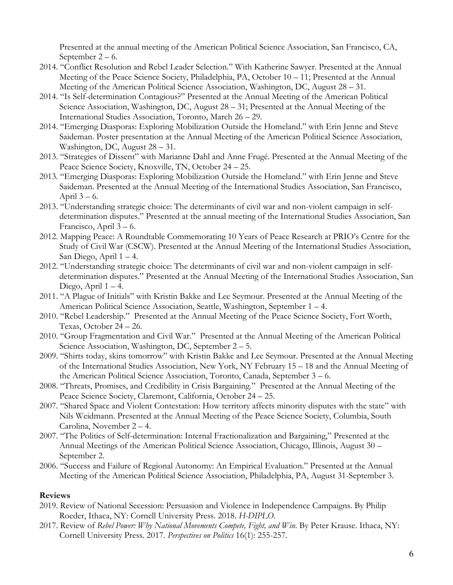Presented at the annual meeting of the American Political Science Association, San Francisco, CA, September 2 – 6.

- 2014. "Conflict Resolution and Rebel Leader Selection." With Katherine Sawyer. Presented at the Annual Meeting of the Peace Science Society, Philadelphia, PA, October 10 – 11; Presented at the Annual Meeting of the American Political Science Association, Washington, DC, August 28 – 31.
- 2014. "Is Self-determination Contagious?" Presented at the Annual Meeting of the American Political Science Association, Washington, DC, August 28 – 31; Presented at the Annual Meeting of the International Studies Association, Toronto, March 26 – 29.
- 2014. "Emerging Diasporas: Exploring Mobilization Outside the Homeland." with Erin Jenne and Steve Saideman. Poster presentation at the Annual Meeting of the American Political Science Association, Washington, DC, August 28 – 31.
- 2013. "Strategies of Dissent" with Marianne Dahl and Anne Frugé. Presented at the Annual Meeting of the Peace Science Society, Knoxville, TN, October 24 – 25.
- 2013. "Emerging Diasporas: Exploring Mobilization Outside the Homeland." with Erin Jenne and Steve Saideman. Presented at the Annual Meeting of the International Studies Association, San Francisco, April  $3 - 6$ .
- 2013. "Understanding strategic choice: The determinants of civil war and non-violent campaign in selfdetermination disputes." Presented at the annual meeting of the International Studies Association, San Francisco, April 3 – 6.
- 2012. Mapping Peace: A Roundtable Commemorating 10 Years of Peace Research at PRIO's Centre for the Study of Civil War (CSCW). Presented at the Annual Meeting of the International Studies Association, San Diego, April 1 – 4.
- 2012. "Understanding strategic choice: The determinants of civil war and non-violent campaign in selfdetermination disputes." Presented at the Annual Meeting of the International Studies Association, San Diego, April  $1 - 4$ .
- 2011. "A Plague of Initials" with Kristin Bakke and Lee Seymour. Presented at the Annual Meeting of the American Political Science Association, Seattle, Washington, September 1 – 4.
- 2010. "Rebel Leadership." Presented at the Annual Meeting of the Peace Science Society, Fort Worth, Texas, October 24 – 26.
- 2010. "Group Fragmentation and Civil War." Presented at the Annual Meeting of the American Political Science Association, Washington, DC, September 2 – 5.
- 2009. "Shirts today, skins tomorrow" with Kristin Bakke and Lee Seymour. Presented at the Annual Meeting of the International Studies Association, New York, NY February 15 – 18 and the Annual Meeting of the American Political Science Association, Toronto, Canada, September 3 – 6.
- 2008. "Threats, Promises, and Credibility in Crisis Bargaining." Presented at the Annual Meeting of the Peace Science Society, Claremont, California, October 24 – 25.
- 2007. "Shared Space and Violent Contestation: How territory affects minority disputes with the state" with Nils Weidmann. Presented at the Annual Meeting of the Peace Science Society, Columbia, South Carolina, November 2 – 4.
- 2007. "The Politics of Self-determination: Internal Fractionalization and Bargaining," Presented at the Annual Meetings of the American Political Science Association, Chicago, Illinois, August 30 – September 2.
- 2006. "Success and Failure of Regional Autonomy: An Empirical Evaluation." Presented at the Annual Meeting of the American Political Science Association, Philadelphia, PA, August 31-September 3.

### **Reviews**

- 2019. Review of National Secession: Persuasion and Violence in Independence Campaigns. By Philip Roeder, Ithaca, NY: Cornell University Press. 2018. *H-DIPLO.*
- 2017. Review of *Rebel Power: Why National Movements Compete, Fight, and Win*. By Peter Krause. Ithaca, NY: Cornell University Press. 2017. *Perspectives on Politics* 16(1): 255-257*.*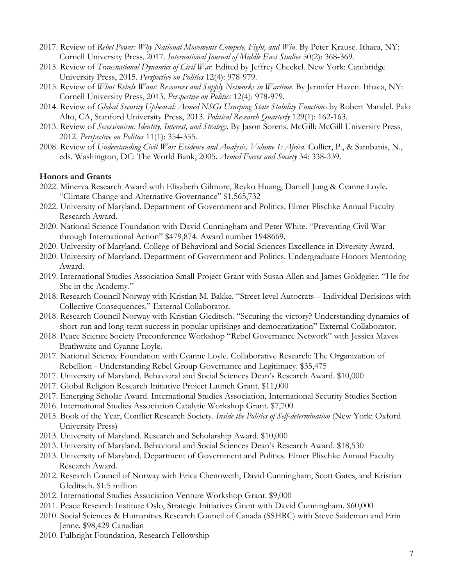- 2017. Review of *Rebel Power: Why National Movements Compete, Fight, and Win*. By Peter Krause. Ithaca, NY: Cornell University Press. 2017. *International Journal of Middle East Studies* 50(2): 368-369.
- 2015. Review of *Transnational Dynamics of Civil War.* Edited by Jeffrey Checkel. New York: Cambridge University Press, 2015. *Perspective on Politics* 12(4): 978-979.
- 2015. Review of *What Rebels Want: Resources and Supply Networks in Wartime.* By Jennifer Hazen. Ithaca, NY: Cornell University Press, 2013. *Perspective on Politics* 12(4): 978-979.
- 2014. Review of *Global Security Upheaval: Armed NSGs Usurping State Stability Functions* by Robert Mandel. Palo Alto, CA, Stanford University Press, 2013. *Political Research Quarterly* 129(1): 162-163.
- 2013. Review of *Secessionism: Identity, Interest, and Strategy*. By Jason Sorens. McGill: McGill University Press, 2012. *Perspective on Politics* 11(1): 354-355.
- 2008. Review of *Understanding Civil War: Evidence and Analysis, Volume 1: Africa.* Collier, P., & Sambanis, N., eds. Washington, DC: The World Bank, 2005. *Armed Forces and Society* 34: 338-339.

#### **Honors and Grants**

- 2022. Minerva Research Award with Elisabeth Gilmore, Reyko Huang, Daniell Jung & Cyanne Loyle. "Climate Change and Alternative Governance" \$1,565,732
- 2022. University of Maryland. Department of Government and Politics. Elmer Plischke Annual Faculty Research Award.
- 2020. National Science Foundation with David Cunningham and Peter White. "Preventing Civil War through International Action" \$479,874. Award number 1948669.
- 2020. University of Maryland. College of Behavioral and Social Sciences Excellence in Diversity Award.
- 2020. University of Maryland. Department of Government and Politics. Undergraduate Honors Mentoring Award.
- 2019. International Studies Association Small Project Grant with Susan Allen and James Goldgeier. "He for She in the Academy."
- 2018. Research Council Norway with Kristian M. Bakke. "Street-level Autocrats Individual Decisions with Collective Consequences." External Collaborator.
- 2018. Research Council Norway with Kristian Gleditsch. "Securing the victory? Understanding dynamics of short-run and long-term success in popular uprisings and democratization" External Collaborator.
- 2018. Peace Science Society Preconference Workshop "Rebel Governance Network" with Jessica Maves Brathwaite and Cyanne Loyle.
- 2017. National Science Foundation with Cyanne Loyle. Collaborative Research: The Organization of Rebellion - Understanding Rebel Group Governance and Legitimacy. \$35,475
- 2017. University of Maryland. Behavioral and Social Sciences Dean's Research Award. \$10,000
- 2017. Global Religion Research Initiative Project Launch Grant. \$11,000
- 2017. Emerging Scholar Award. International Studies Association, International Security Studies Section
- 2016. International Studies Association Catalytic Workshop Grant. \$7,700
- 2015. Book of the Year, Conflict Research Society. *Inside the Politics of Self-determination* (New York: Oxford University Press)
- 2013. University of Maryland. Research and Scholarship Award. \$10,000
- 2013. University of Maryland. Behavioral and Social Sciences Dean's Research Award. \$18,530
- 2013. University of Maryland. Department of Government and Politics. Elmer Plischke Annual Faculty Research Award.
- 2012. Research Council of Norway with Erica Chenoweth, David Cunningham, Scott Gates, and Kristian Gleditsch. \$1.5 million
- 2012. International Studies Association Venture Workshop Grant. \$9,000
- 2011. Peace Research Institute Oslo, Strategic Initiatives Grant with David Cunningham. \$60,000
- 2010. Social Sciences & Humanities Research Council of Canada (SSHRC) with Steve Saideman and Erin Jenne. \$98,429 Canadian
- 2010. Fulbright Foundation, Research Fellowship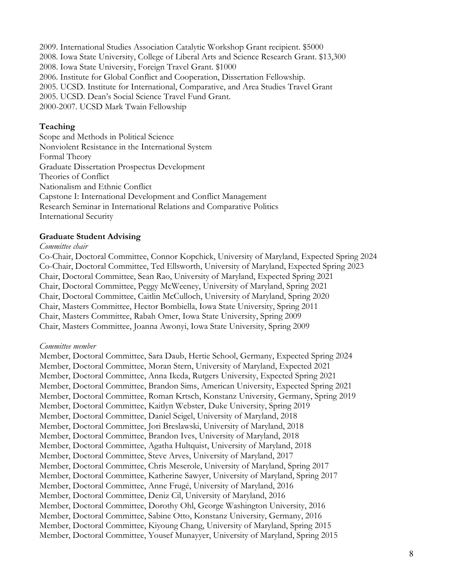2009. International Studies Association Catalytic Workshop Grant recipient. \$5000 2008. Iowa State University, College of Liberal Arts and Science Research Grant. \$13,300 2008. Iowa State University, Foreign Travel Grant. \$1000 2006. Institute for Global Conflict and Cooperation, Dissertation Fellowship. 2005. UCSD. Institute for International, Comparative, and Area Studies Travel Grant 2005. UCSD. Dean's Social Science Travel Fund Grant. 2000-2007. UCSD Mark Twain Fellowship

#### **Teaching**

Scope and Methods in Political Science Nonviolent Resistance in the International System Formal Theory Graduate Dissertation Prospectus Development Theories of Conflict Nationalism and Ethnic Conflict Capstone I: International Development and Conflict Management Research Seminar in International Relations and Comparative Politics International Security

#### **Graduate Student Advising**

#### *Committee chair*

Co-Chair, Doctoral Committee, Connor Kopchick, University of Maryland, Expected Spring 2024 Co-Chair, Doctoral Committee, Ted Ellsworth, University of Maryland, Expected Spring 2023 Chair, Doctoral Committee, Sean Rao, University of Maryland, Expected Spring 2021 Chair, Doctoral Committee, Peggy McWeeney, University of Maryland, Spring 2021 Chair, Doctoral Committee, Caitlin McCulloch, University of Maryland, Spring 2020 Chair, Masters Committee, Hector Bombiella, Iowa State University, Spring 2011 Chair, Masters Committee, Rabah Omer, Iowa State University, Spring 2009 Chair, Masters Committee, Joanna Awonyi, Iowa State University, Spring 2009

#### *Committee member*

Member, Doctoral Committee, Sara Daub, Hertie School, Germany, Expected Spring 2024 Member, Doctoral Committee, Moran Stern, University of Maryland, Expected 2021 Member, Doctoral Committee, Anna Ikeda, Rutgers University, Expected Spring 2021 Member, Doctoral Committee, Brandon Sims, American University, Expected Spring 2021 Member, Doctoral Committee, Roman Krtsch, Konstanz University, Germany, Spring 2019 Member, Doctoral Committee, Kaitlyn Webster, Duke University, Spring 2019 Member, Doctoral Committee, Daniel Seigel, University of Maryland, 2018 Member, Doctoral Committee, Jori Breslawski, University of Maryland, 2018 Member, Doctoral Committee, Brandon Ives, University of Maryland, 2018 Member, Doctoral Committee, Agatha Hultquist, University of Maryland, 2018 Member, Doctoral Committee, Steve Arves, University of Maryland, 2017 Member, Doctoral Committee, Chris Meserole, University of Maryland, Spring 2017 Member, Doctoral Committee, Katherine Sawyer, University of Maryland, Spring 2017 Member, Doctoral Committee, Anne Frugé, University of Maryland, 2016 Member, Doctoral Committee, Deniz Cil, University of Maryland, 2016 Member, Doctoral Committee, Dorothy Ohl, George Washington University, 2016 Member, Doctoral Committee, Sabine Otto, Konstanz University, Germany, 2016 Member, Doctoral Committee, Kiyoung Chang, University of Maryland, Spring 2015 Member, Doctoral Committee, Yousef Munayyer, University of Maryland, Spring 2015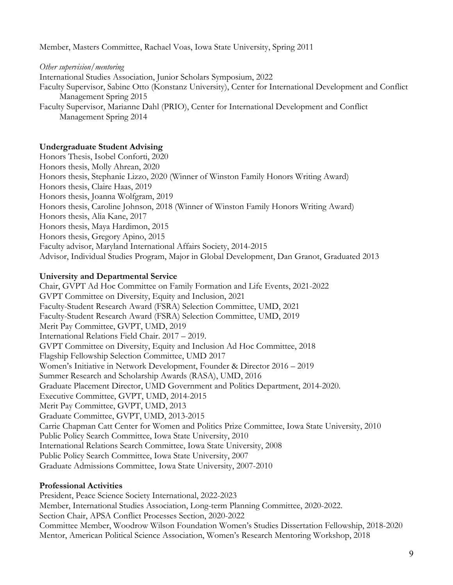Member, Masters Committee, Rachael Voas, Iowa State University, Spring 2011

*Other supervision/mentoring* International Studies Association, Junior Scholars Symposium, 2022 Faculty Supervisor, Sabine Otto (Konstanz University), Center for International Development and Conflict Management Spring 2015 Faculty Supervisor, Marianne Dahl (PRIO), Center for International Development and Conflict Management Spring 2014

# **Undergraduate Student Advising**

Honors Thesis, Isobel Conforti, 2020 Honors thesis, Molly Ahrean, 2020 Honors thesis, Stephanie Lizzo, 2020 (Winner of Winston Family Honors Writing Award) Honors thesis, Claire Haas, 2019 Honors thesis, Joanna Wolfgram, 2019 Honors thesis, Caroline Johnson, 2018 (Winner of Winston Family Honors Writing Award) Honors thesis, Alia Kane, 2017 Honors thesis, Maya Hardimon, 2015 Honors thesis, Gregory Apino, 2015 Faculty advisor, Maryland International Affairs Society, 2014-2015 Advisor, Individual Studies Program, Major in Global Development, Dan Granot, Graduated 2013

# **University and Departmental Service**

Chair, GVPT Ad Hoc Committee on Family Formation and Life Events, 2021-2022 GVPT Committee on Diversity, Equity and Inclusion, 2021 Faculty-Student Research Award (FSRA) Selection Committee, UMD, 2021 Faculty-Student Research Award (FSRA) Selection Committee, UMD, 2019 Merit Pay Committee, GVPT, UMD, 2019 International Relations Field Chair. 2017 – 2019. GVPT Committee on Diversity, Equity and Inclusion Ad Hoc Committee, 2018 Flagship Fellowship Selection Committee, UMD 2017 Women's Initiative in Network Development, Founder & Director 2016 – 2019 Summer Research and Scholarship Awards (RASA), UMD, 2016 Graduate Placement Director, UMD Government and Politics Department, 2014-2020. Executive Committee, GVPT, UMD, 2014-2015 Merit Pay Committee, GVPT, UMD, 2013 Graduate Committee, GVPT, UMD, 2013-2015 Carrie Chapman Catt Center for Women and Politics Prize Committee, Iowa State University, 2010 Public Policy Search Committee, Iowa State University, 2010 International Relations Search Committee, Iowa State University, 2008 Public Policy Search Committee, Iowa State University, 2007 Graduate Admissions Committee, Iowa State University, 2007-2010

# **Professional Activities**

President, Peace Science Society International, 2022-2023 Member, International Studies Association, Long-term Planning Committee, 2020-2022. Section Chair, APSA Conflict Processes Section, 2020-2022 Committee Member, Woodrow Wilson Foundation Women's Studies Dissertation Fellowship, 2018-2020 Mentor, American Political Science Association, Women's Research Mentoring Workshop, 2018